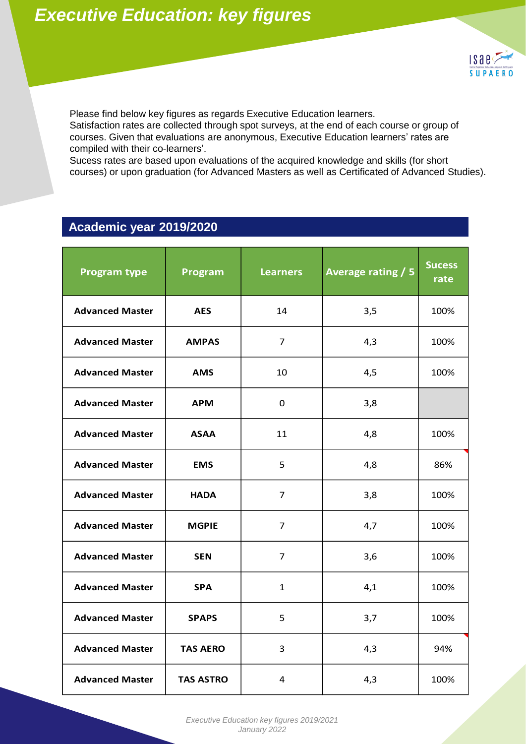

Please find below key figures as regards Executive Education learners.

Satisfaction rates are collected through spot surveys, at the end of each course or group of courses. Given that evaluations are anonymous, Executive Education learners' rates are compiled with their co-learners'.

Sucess rates are based upon evaluations of the acquired knowledge and skills (for short courses) or upon graduation (for Advanced Masters as well as Certificated of Advanced Studies).

#### **Academic year 2019/2020**

|                        |                  |                 |                           | <b>Sucess</b> |
|------------------------|------------------|-----------------|---------------------------|---------------|
| <b>Program type</b>    | Program          | <b>Learners</b> | <b>Average rating / 5</b> | rate          |
| <b>Advanced Master</b> | <b>AES</b>       | 14              | 3,5                       | 100%          |
| <b>Advanced Master</b> | <b>AMPAS</b>     | $\overline{7}$  | 4,3                       | 100%          |
| <b>Advanced Master</b> | <b>AMS</b>       | 10              | 4,5                       | 100%          |
| <b>Advanced Master</b> | <b>APM</b>       | 0               | 3,8                       |               |
| <b>Advanced Master</b> | <b>ASAA</b>      | 11              | 4,8                       | 100%          |
| <b>Advanced Master</b> | <b>EMS</b>       | 5               | 4,8                       | 86%           |
| <b>Advanced Master</b> | <b>HADA</b>      | $\overline{7}$  | 3,8                       | 100%          |
| <b>Advanced Master</b> | <b>MGPIE</b>     | $\overline{7}$  | 4,7                       | 100%          |
| <b>Advanced Master</b> | <b>SEN</b>       | 7               | 3,6                       | 100%          |
| <b>Advanced Master</b> | <b>SPA</b>       | $\mathbf{1}$    | 4,1                       | 100%          |
| <b>Advanced Master</b> | <b>SPAPS</b>     | 5               | 3,7                       | 100%          |
| <b>Advanced Master</b> | <b>TAS AERO</b>  | 3               | 4,3                       | 94%           |
| <b>Advanced Master</b> | <b>TAS ASTRO</b> | 4               | 4,3                       | 100%          |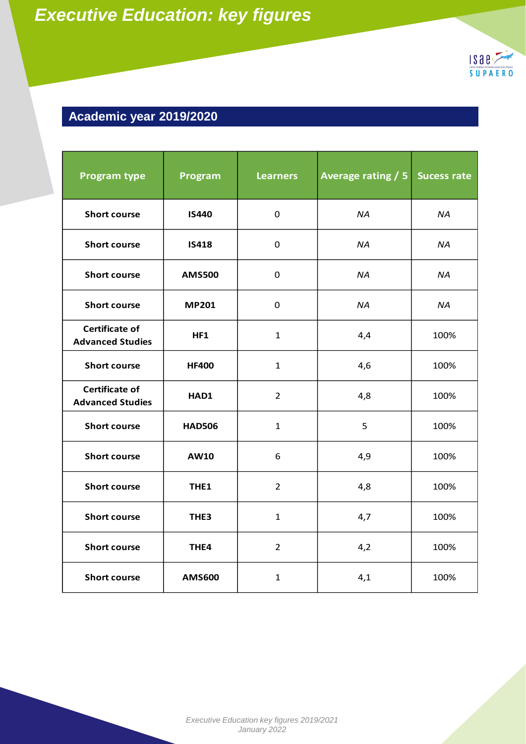

## **Academic year 2019/2020**

| <b>Program type</b>                              | Program          | <b>Learners</b> | Average rating / 5 | <b>Sucess rate</b> |
|--------------------------------------------------|------------------|-----------------|--------------------|--------------------|
| <b>Short course</b>                              | <b>IS440</b>     | $\mathbf 0$     | <b>NA</b>          | <b>NA</b>          |
| <b>Short course</b>                              | <b>IS418</b>     | $\mathbf 0$     | NA.                | NA.                |
| <b>Short course</b>                              | <b>AMS500</b>    | 0               | <b>NA</b>          | <b>NA</b>          |
| <b>Short course</b>                              | <b>MP201</b>     | $\mathbf 0$     | <b>NA</b>          | <b>NA</b>          |
| <b>Certificate of</b><br><b>Advanced Studies</b> | HF1              | $\mathbf{1}$    | 4,4                | 100%               |
| <b>Short course</b>                              | <b>HF400</b>     | $\mathbf{1}$    | 4,6                | 100%               |
| <b>Certificate of</b><br><b>Advanced Studies</b> | HAD1             | $\overline{2}$  | 4,8                | 100%               |
| <b>Short course</b>                              | <b>HAD506</b>    | $\mathbf{1}$    | 5                  | 100%               |
| <b>Short course</b>                              | AW10             | 6               | 4,9                | 100%               |
| <b>Short course</b>                              | THE <sub>1</sub> | $\overline{2}$  | 4,8                | 100%               |
| <b>Short course</b>                              | THE <sub>3</sub> | $\mathbf{1}$    | 4,7                | 100%               |
| <b>Short course</b>                              | THE4             | $\overline{2}$  | 4,2                | 100%               |
| <b>Short course</b>                              | <b>AMS600</b>    | $\mathbf{1}$    | 4,1                | 100%               |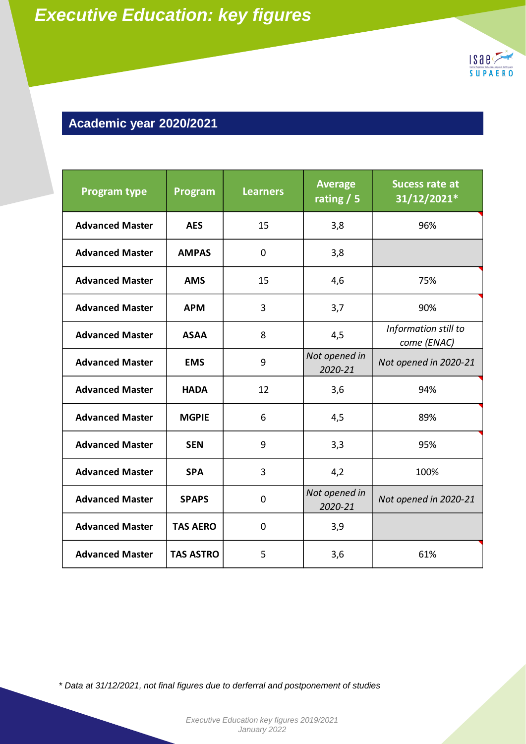

### **Academic year 2020/2021**

| <b>Program type</b>                                                                  | Program          | <b>Learners</b> | <b>Average</b><br>rating $\sqrt{5}$ | Sucess rate at<br>31/12/2021*       |
|--------------------------------------------------------------------------------------|------------------|-----------------|-------------------------------------|-------------------------------------|
| <b>Advanced Master</b>                                                               | <b>AES</b>       | 15              | 3,8                                 | 96%                                 |
| <b>Advanced Master</b>                                                               | <b>AMPAS</b>     | 0               | 3,8                                 |                                     |
| <b>Advanced Master</b>                                                               | <b>AMS</b>       | 15              | 4,6                                 | 75%                                 |
| <b>Advanced Master</b>                                                               | <b>APM</b>       | 3               | 3,7                                 | 90%                                 |
| <b>Advanced Master</b>                                                               | <b>ASAA</b>      | 8               | 4,5                                 | Information still to<br>come (ENAC) |
| <b>Advanced Master</b>                                                               | <b>EMS</b>       | 9               | Not opened in<br>2020-21            | Not opened in 2020-21               |
| <b>Advanced Master</b>                                                               | <b>HADA</b>      | 12              | 3,6                                 | 94%                                 |
| <b>Advanced Master</b>                                                               | <b>MGPIE</b>     | 6               | 4,5                                 | 89%                                 |
| <b>Advanced Master</b>                                                               | <b>SEN</b>       | 9               | 3,3                                 | 95%                                 |
| <b>Advanced Master</b>                                                               | <b>SPA</b>       | 3               | 4,2                                 | 100%                                |
| <b>Advanced Master</b>                                                               | <b>SPAPS</b>     | 0               | Not opened in<br>2020-21            | Not opened in 2020-21               |
| <b>Advanced Master</b>                                                               | <b>TAS AERO</b>  | 0               | 3,9                                 |                                     |
| <b>Advanced Master</b>                                                               | <b>TAS ASTRO</b> | 5               | 3,6                                 | 61%                                 |
| * Data at 31/12/2021, not final figures due to derferral and postponement of studies |                  |                 |                                     |                                     |